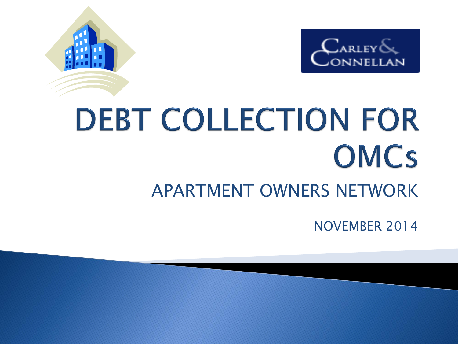



# DEBT COLLECTION FOR **OMCs** APARTMENT OWNERS NETWORK

NOVEMBER 2014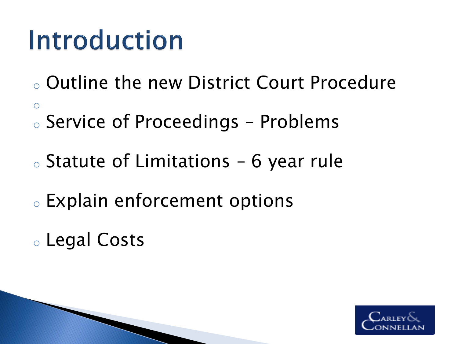## Introduction

- <sup>o</sup> Outline the new District Court Procedure
- <sup>o</sup> Service of Proceedings Problems
- $\circ$  Statute of Limitations 6 year rule
- <sup>o</sup> Explain enforcement options
- <sup>o</sup> Legal Costs

o

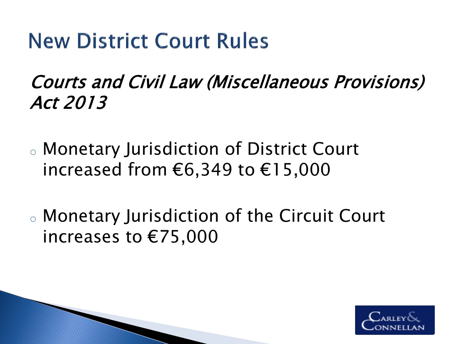## **New District Court Rules**

Courts and Civil Law (Miscellaneous Provisions) Act 2013

- <sup>o</sup> Monetary Jurisdiction of District Court increased from €6,349 to €15,000
- <sup>o</sup> Monetary Jurisdiction of the Circuit Court increases to €75,000

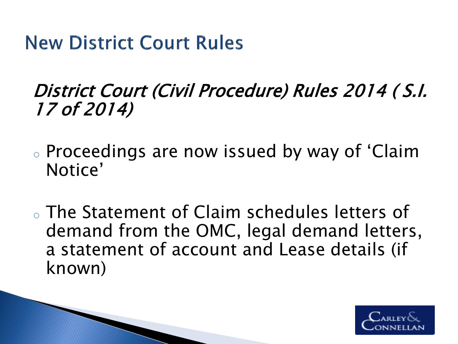**New District Court Rules** 

#### District Court (Civil Procedure) Rules 2014 ( S.I. 17 of 2014)

- <sup>o</sup> Proceedings are now issued by way of 'Claim Notice'
- <sup>o</sup> The Statement of Claim schedules letters of demand from the OMC, legal demand letters, a statement of account and Lease details (if known)

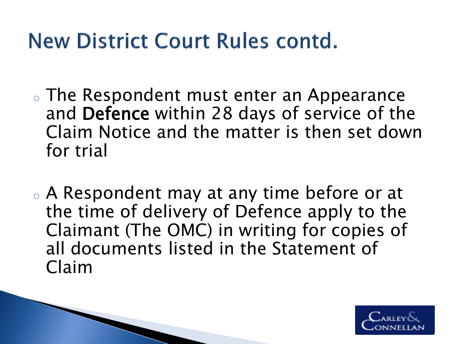## New District Court Rules contd.

- <sup>o</sup> The Respondent must enter an Appearance and Defence within 28 days of service of the Claim Notice and the matter is then set down for trial
- <sup>o</sup> A Respondent may at any time before or at the time of delivery of Defence apply to the Claimant (The OMC) in writing for copies of all documents listed in the Statement of Claim

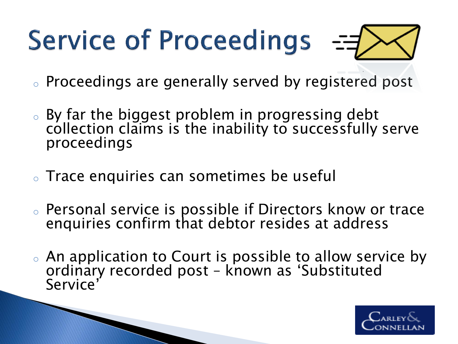# **Service of Proceedings**



- <sup>o</sup> Proceedings are generally served by registered post
- $\circ$  By far the biggest problem in progressing debt collection claims is the inability to successfully serve proceedings
- <sup>o</sup> Trace enquiries can sometimes be useful
- <sup>o</sup> Personal service is possible if Directors know or trace enquiries confirm that debtor resides at address
- $\circ$  An application to Court is possible to allow service by ordinary recorded post – known as 'Substituted Service'

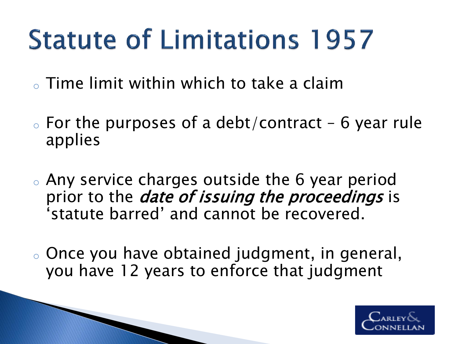# **Statute of Limitations 1957**

- $\circ$  Time limit within which to take a claim
- $\circ$  For the purposes of a debt/contract 6 year rule applies
- <sup>o</sup> Any service charges outside the 6 year period prior to the *date of issuing the proceedings* is 'statute barred' and cannot be recovered.
- <sup>o</sup> Once you have obtained judgment, in general, you have 12 years to enforce that judgment

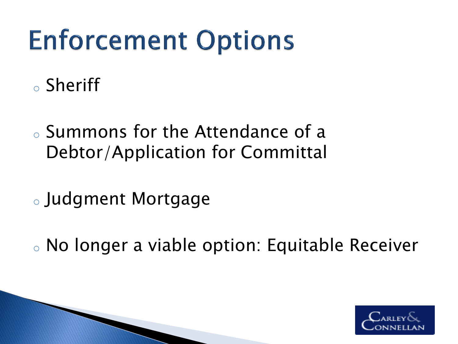# **Enforcement Options**

<sup>o</sup> Sheriff

<sup>o</sup> Summons for the Attendance of a Debtor/Application for Committal

<sup>o</sup> Judgment Mortgage

<sup>o</sup> No longer a viable option: Equitable Receiver

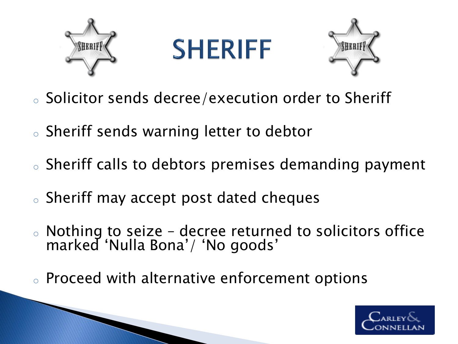

**SHERIFF** 



- <sup>o</sup> Solicitor sends decree/execution order to Sheriff
- <sup>o</sup> Sheriff sends warning letter to debtor
- <sup>o</sup> Sheriff calls to debtors premises demanding payment
- <sup>o</sup> Sheriff may accept post dated cheques
- <sup>o</sup> Nothing to seize decree returned to solicitors office marked 'Nulla Bona'/ 'No goods'
- <sup>o</sup> Proceed with alternative enforcement options

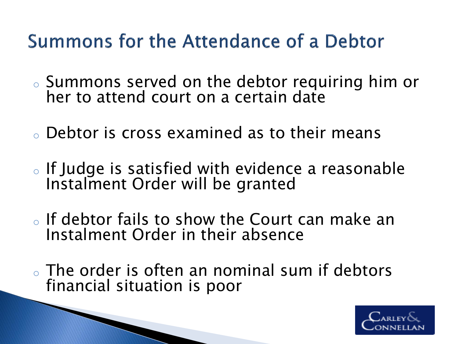#### Summons for the Attendance of a Debtor

- <sup>o</sup> Summons served on the debtor requiring him or her to attend court on a certain date
- <sup>o</sup> Debtor is cross examined as to their means
- <sup>o</sup> If Judge is satisfied with evidence a reasonable Instalment Order will be granted
- $\circ$  If debtor fails to show the Court can make an Instalment Order in their absence
- $\circ$  The order is often an nominal sum if debtors financial situation is poor

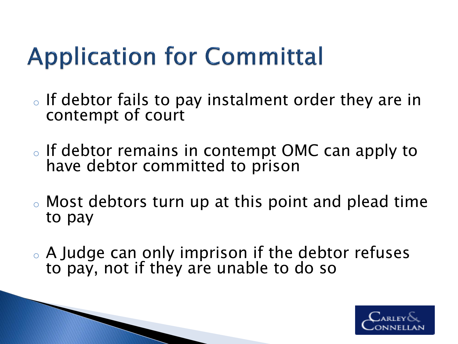## **Application for Committal**

- o If debtor fails to pay instalment order they are in contempt of court
- <sup>o</sup> If debtor remains in contempt OMC can apply to have debtor committed to prison
- <sup>o</sup> Most debtors turn up at this point and plead time to pay
- . A Judge can only imprison if the debtor refuses to pay, not if they are unable to do so

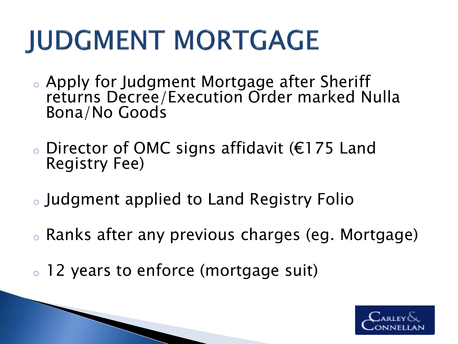# **JUDGMENT MORTGAGE**

- <sup>o</sup> Apply for Judgment Mortgage after Sheriff returns Decree/Execution Order marked Nulla Bona/No Goods
- <sup>o</sup> Director of OMC signs affidavit (€175 Land Registry Fee)
- <sup>o</sup> Judgment applied to Land Registry Folio
- <sup>o</sup> Ranks after any previous charges (eg. Mortgage)
- <sup>o</sup> 12 years to enforce (mortgage suit)

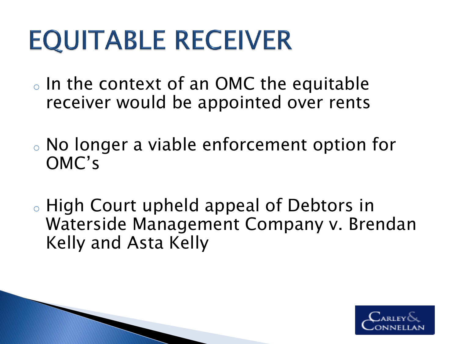# **EQUITABLE RECEIVER**

- <sup>o</sup> In the context of an OMC the equitable receiver would be appointed over rents
- <sup>o</sup> No longer a viable enforcement option for OMC's
- <sup>o</sup> High Court upheld appeal of Debtors in Waterside Management Company v. Brendan Kelly and Asta Kelly

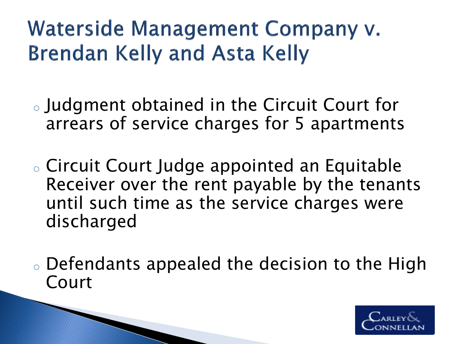## Waterside Management Company v. **Brendan Kelly and Asta Kelly**

- <sup>o</sup> Judgment obtained in the Circuit Court for arrears of service charges for 5 apartments
- <sup>o</sup> Circuit Court Judge appointed an Equitable Receiver over the rent payable by the tenants until such time as the service charges were discharged
- <sup>o</sup> Defendants appealed the decision to the High Court

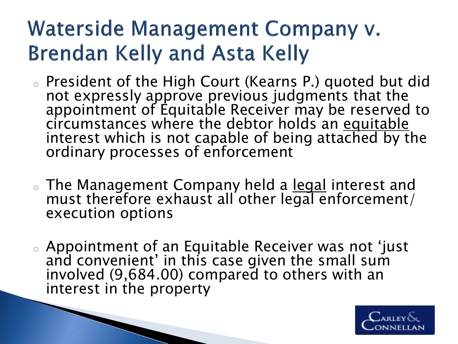## Waterside Management Company v. **Brendan Kelly and Asta Kelly**

- <sup>o</sup> President of the High Court (Kearns P.) quoted but did not expressly approve previous judgments that the appointment of Equitable Receiver may be reserved to circumstances where the debtor holds an equitable interest which is not capable of being attached by the ordinary processes of enforcement
- . The Management Company held a legal interest and must therefore exhaust all other legal enforcement/ execution options
- <sup>o</sup> Appointment of an Equitable Receiver was not 'just and convenient' in this case given the small sum involved (9,684.00) compared to others with an interest in the property

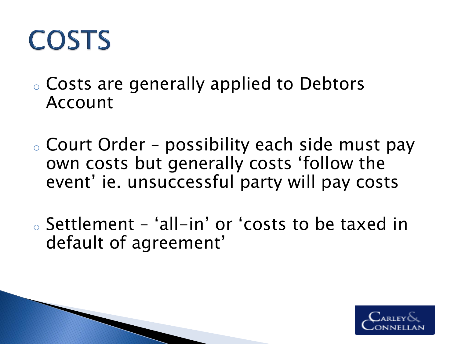## **COSTS**

- <sup>o</sup> Costs are generally applied to Debtors Account
- <sup>o</sup> Court Order possibility each side must pay own costs but generally costs 'follow the event' ie. unsuccessful party will pay costs
- <sup>o</sup> Settlement 'all-in' or 'costs to be taxed in default of agreement'

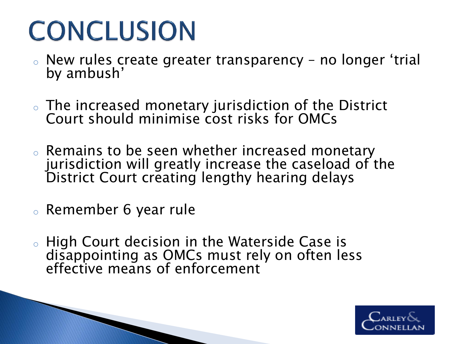# **CONCLUSION**

- <sup>o</sup> New rules create greater transparency no longer 'trial by ambush'
- $\circ$  The increased monetary jurisdiction of the District Court should minimise cost risks for OMCs
- <sup>o</sup> Remains to be seen whether increased monetary jurisdiction will greatly increase the caseload of the District Court creating lengthy hearing delays
- <sup>o</sup> Remember 6 year rule
- <sup>o</sup> High Court decision in the Waterside Case is disappointing as OMCs must rely on often less effective means of enforcement